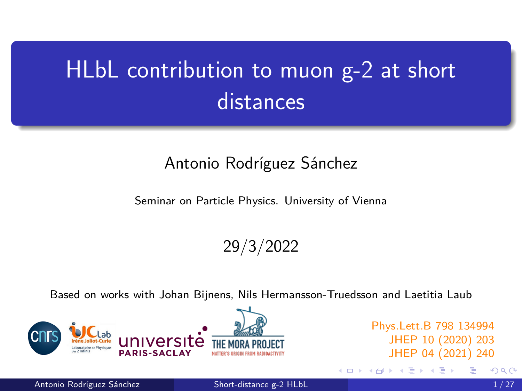# <span id="page-0-0"></span>HLbL contribution to muon g-2 at short **distances**

#### Antonio Rodríguez Sánchez

Seminar on Particle Physics. University of Vienna

29/3/2022

Based on works with Johan Bijnens, Nils Hermansson-Truedsson and Laetitia Laub



Phys.Lett.B 798 134994 JHEP 10 (2020) 203 JHEP 04 (2021) 240

4 0 F

Antonio Rodríguez Sánchez **[Short-distance g-2 HLbL](#page-26-0)** 1/27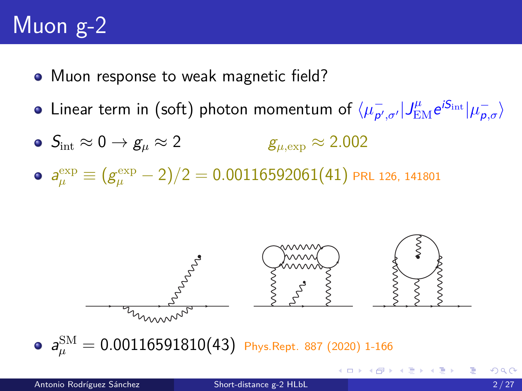# Muon g-2

- Muon response to weak magnetic field?
- Linear term in (soft) photon momentum of  $\sqrt{\mu_{p'}}$  $\frac{\partial}{\partial \rho',\sigma'}\big|J_{\rm EM}^{\mu}e^{iS_{\rm int}}\big|\mu_{\bm{p},\sigma}^-\big\rangle,$
- $\bullet$   $S_{\text{int}} \approx 0 \rightarrow g_{\mu} \approx 2$   $g_{\mu, \text{exp}} \approx 2.002$
- $a_\mu^{\rm exp} \equiv (g_\mu^{\rm exp} 2)/2 = 0.00116592061(41)$  prl 126, 141801



 $a_\mu^{\rm SM} = 0.00116591810(43)$  Phys.Rept. 887 (2020) 1-166

メタトメ ミトメ ヨト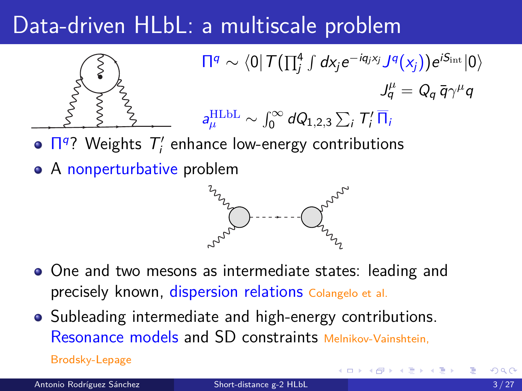# Data-driven HLbL: a multiscale problem



- $\Pi<sup>q</sup>$ ? Weights  $T'_i$  enhance low-energy contributions
- A nonperturbative problem



- One and two mesons as intermediate states: leading and precisely known, dispersion relations Colangelo et al.
- Subleading intermediate and high-energy contributions. Resonance models and SD constraints Melnikov-Vainshtein,

Brodsky-Lepage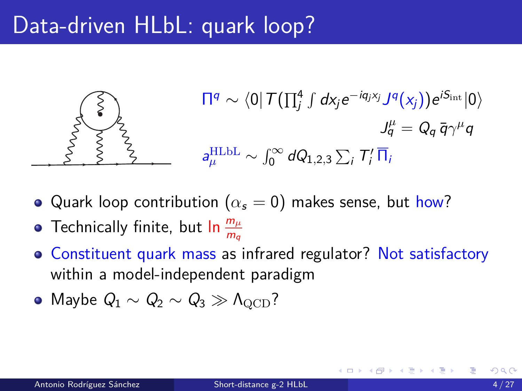# Data-driven HLbL: quark loop?



- Quark loop contribution ( $\alpha_s = 0$ ) makes sense, but how?
- Technically finite, but In  $\frac{m_\mu}{m_q}$
- Constituent quark mass as infrared regulator? Not satisfactory within a model-independent paradigm
- Maybe  $Q_1 \sim Q_2 \sim Q_3 \gg \Lambda_{\text{OCD}}$ ?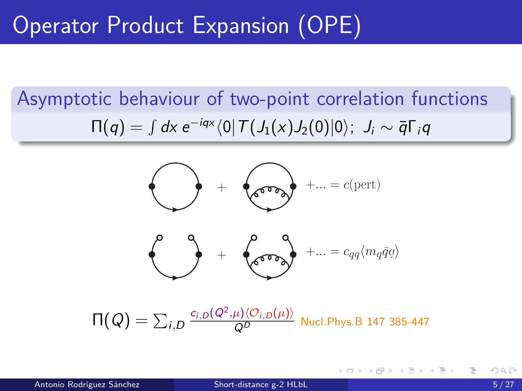# Operator Product Expansion (OPE)

# Asymptotic behaviour of two-point correlation functions  $\Pi(q)=\int d\mathsf{x}\ e^{-i q \mathsf{x}} \langle 0|\,T\bigl(J_1(\mathsf{x}) J_2(0)|0\rangle;$   $J_i\sim \bar{q}\Gamma_i q$



∢ ロ ▶ ④ ■ ▶ ④ 重 ▶ ④ 重 ▶ ○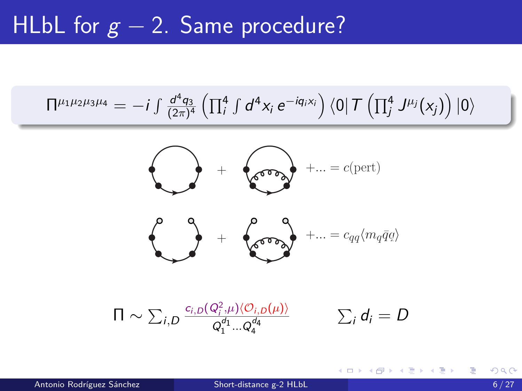### <span id="page-5-0"></span>HLbL for  $g - 2$ . Same procedure?

$$
\Pi^{\mu_1\mu_2\mu_3\mu_4}=-i\int \tfrac{d^4q_3}{(2\pi)^4}\left(\textstyle\prod_i^4\int d^4x_i\;e^{-i q_i x_i}\right)\bra{0}\mathcal{T}\left(\textstyle\prod_j^4 J^{\mu_j}(x_j)\right)\ket{0}
$$



$$
\Pi \sim \sum_{i,D} \frac{c_{i,D}(Q_i^2,\mu)\langle O_{i,D}(\mu)\rangle}{Q_1^{d_1} \dots Q_4^{d_4}} \qquad \sum_i d_i = D
$$

э

メロトメ 倒 トメ ヨ トメ ヨ トー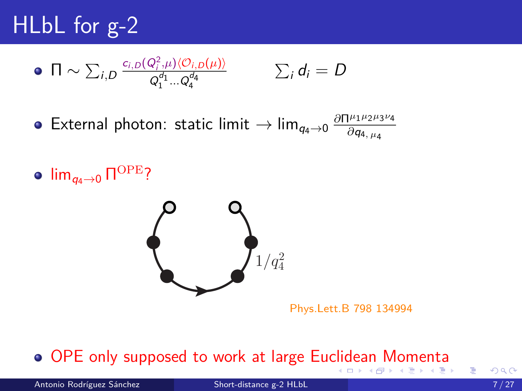# <span id="page-6-0"></span>HLbL for g-2

$$
\bullet \ \ \Pi \sim \sum_{i,D} \frac{c_{i,D}(Q_i^2,\mu) \langle O_{i,D}(\mu) \rangle}{Q_1^{d_1} \dots Q_4^{d_4}} \qquad \qquad \sum_i d_i = D
$$

 $\textsf{External photon: static limit} \rightarrow \lim_{q_4 \rightarrow 0} \frac{\partial \Pi^{\mu_1 \mu_2 \mu_3}}{\partial q_4 \mu_4}$  $\partial\Pi^{\mu_1\mu_2\mu_3\nu_4}$ *∂*q4*, µ*<sup>4</sup>

lim $_{q_4\to 0}$  Π<sup>ΟΡΕ</sup>?



Phys.Lett.B 798 134994

#### OPE only supposed to work at large Eu[clid](#page-5-0)[ea](#page-7-0)[n](#page-5-0)[M](#page-7-0)[o](#page-0-0)[me](#page-26-0)[nt](#page-0-0)[a](#page-26-0) イロト イ押ト イヨト イヨト

э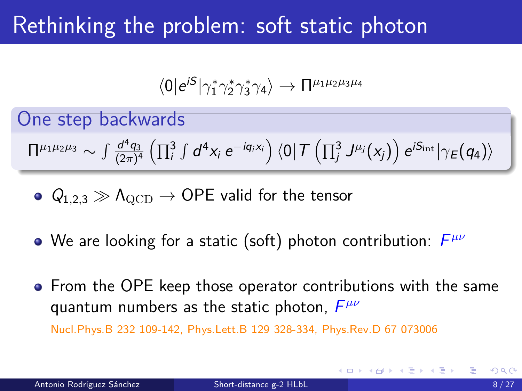# <span id="page-7-0"></span>Rethinking the problem: soft static photon

$$
\langle 0|e^{iS}|\gamma_1^*\gamma_2^*\gamma_3^*\gamma_4\rangle\rightarrow\Pi^{\mu_1\mu_2\mu_3\mu_4}
$$

One step backwards

$$
\Pi^{\mu_1\mu_2\mu_3}\sim \int \frac{d^4q_3}{(2\pi)^4}\left(\prod_{i}^3\int d^4x_i\;e^{-iq_i x_i}\right)\left\langle 0\right|T\left(\prod_{j}^3 J^{\mu_j}(x_j)\right)e^{iS_{\rm int}}\left|\gamma_E\left(q_4\right)\right\rangle
$$

• 
$$
Q_{1,2,3} \gg \Lambda_{\rm QCD} \rightarrow
$$
 OPE valid for the tensor

- We are looking for a static (soft) photon contribution:  $F^{\mu\nu}$
- **•** From the OPE keep those operator contributions with the same quantum numbers as the static photon, F *µν*

Nucl.Phys.B 232 109-142, Phys.Lett.B 129 328-334, Phys.Rev.D 67 073006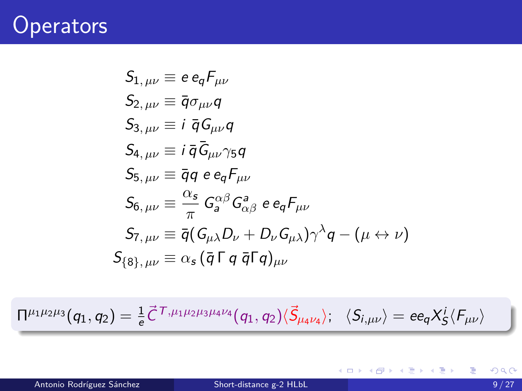#### **Operators**

$$
S_{1, \mu\nu} \equiv e e_q F_{\mu\nu}
$$
  
\n
$$
S_{2, \mu\nu} \equiv \bar{q} \sigma_{\mu\nu} q
$$
  
\n
$$
S_{3, \mu\nu} \equiv i \bar{q} G_{\mu\nu} q
$$
  
\n
$$
S_{4, \mu\nu} \equiv i \bar{q} G_{\mu\nu} \gamma_5 q
$$
  
\n
$$
S_{5, \mu\nu} \equiv \bar{q} q e e_q F_{\mu\nu}
$$
  
\n
$$
S_{6, \mu\nu} \equiv \frac{\alpha_s}{\pi} G_a^{\alpha\beta} G_{\alpha\beta}^a e e_q F_{\mu\nu}
$$
  
\n
$$
S_{7, \mu\nu} \equiv \bar{q} (G_{\mu\lambda} D_{\nu} + D_{\nu} G_{\mu\lambda}) \gamma^{\lambda} q - (\mu \leftrightarrow \nu)
$$
  
\n
$$
S_{\{8\}, \mu\nu} \equiv \alpha_s (\bar{q} \Gamma q \bar{q} \Gamma q)_{\mu\nu}
$$

 $\Pi^{\mu_1\mu_2\mu_3} (q_1,q_2) = \frac{1}{e} \vec{C}^{\, \mathcal{T},\mu_1\mu_2\mu_3\mu_4\nu_4} (q_1,q_2) \langle \vec{S}_{\mu_4\nu_4} \rangle ; ~~~ \langle S_{i,\mu\nu} \rangle = e e_q \vec{X^i_S} \langle F_{\mu\nu} \rangle$ 

メロメメ 倒す メミメメ ミメン 毛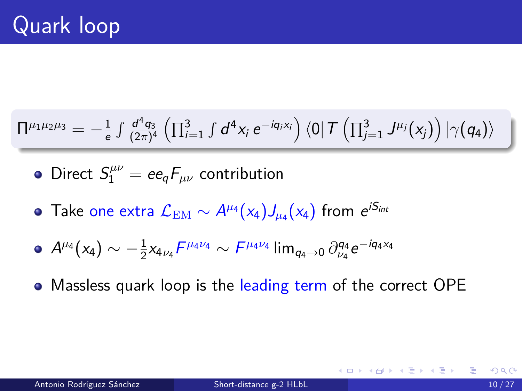#### $\Pi^{\mu_1\mu_2\mu_3} = -\frac{1}{\epsilon}$  $rac{1}{e} \int \frac{d^4q_3}{(2\pi)^4}$  $\frac{d^4q_3}{(2\pi)^4}\left(\prod_{i=1}^3\int d^4x_i\ {\rm e}^{-iq_i x_i}\right)\bra{0} {\cal T}\left(\prod_{j=1}^3\ J^{\mu_j}(x_j)\right)\ket{\gamma (q_4)}$

- Direct  $S^{\mu\nu}_{1} = e e_q F_{\mu\nu}$  contribution
- Take one extra  $\mathcal{L}_\text{EM}\sim A^{\mu_4}(\mathsf{x}_4)J_{\mu_4}(\mathsf{x}_4)$  from  $e^{i\mathsf{S}_{int}}$

• 
$$
A^{\mu_4}(x_4) \sim -\frac{1}{2}x_{4\nu_4}F^{\mu_4\nu_4} \sim F^{\mu_4\nu_4} \lim_{q_4 \to 0} \partial_{\nu_4}^{q_4} e^{-iq_4x_4}
$$

Massless quark loop is the leading term of the correct OPE

K ロ ▶ K @ ▶ K 경 ▶ K 경 ▶ │ 경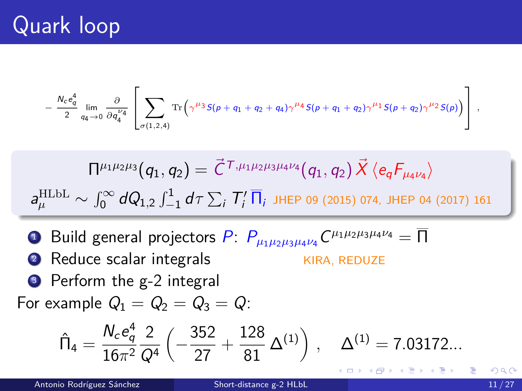# Quark loop

$$
-\left.\frac{N_c e_q^4}{2}\lim_{q_4\rightarrow 0}\frac{\partial}{\partial q_4^{\nu_4}}\left[\sum_{\sigma(1,2,4)}\mathrm{Tr}\left(\gamma^{\mu_3}S(p+q_1+q_2+q_4)\gamma^{\mu_4}S(p+q_1+q_2)\gamma^{\mu_1}S(p+q_2)\gamma^{\mu_2}S(p)\right)\right]\;,
$$

$$
\Pi^{\mu_1\mu_2\mu_3}(q_1, q_2) = \vec{C}^{\,T,\mu_1\mu_2\mu_3\mu_4\nu_4}(q_1, q_2) \, \vec{X} \, \langle e_q F_{\mu_4\nu_4} \rangle
$$
\n
$$
a_{\mu}^{\text{HLbL}} \sim \int_0^\infty dQ_{1,2} \int_{-1}^1 d\tau \sum_i T'_i \, \overline{\Pi}_i \, \text{JHEP 09 (2015) 074, JHEP 04 (2017) 161}
$$

 $\bullet$  Build general projectors  $P\colon P_{\mu_1\mu_2\mu_3\mu_4\nu_4}C^{\mu_1\mu_2\mu_3\mu_4\nu_4}=\overline{\Pi}$ 2 Reduce scalar integrals KIRA, REDUZE **3** Perform the g-2 integral For example  $Q_1 = Q_2 = Q_3 = Q$ :

$$
\hat{\Pi}_4 = \frac{N_c e_q^4}{16\pi^2} \frac{2}{Q^4} \left( -\frac{352}{27} + \frac{128}{81} \Delta^{(1)} \right) , \quad \Delta^{(1)} = 7.03172...
$$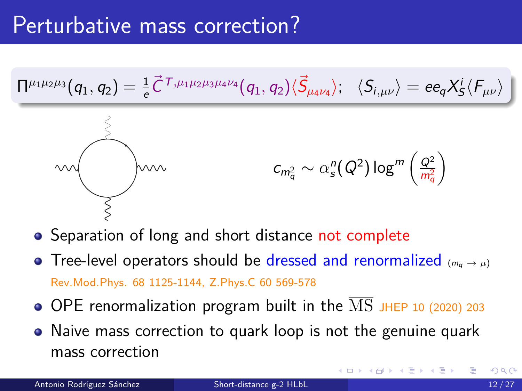

- Separation of long and short distance not complete
- Tree-level operators should be dressed and renormalized  $(m_q \rightarrow \mu)$ Rev.Mod.Phys. 68 1125-1144, Z.Phys.C 60 569-578
- $\bullet$  OPE renormalization program built in the  $\overline{\text{MS}}$  JHEP 10 (2020) 203
- Naive mass correction to quark loop is not the genuine quark mass correction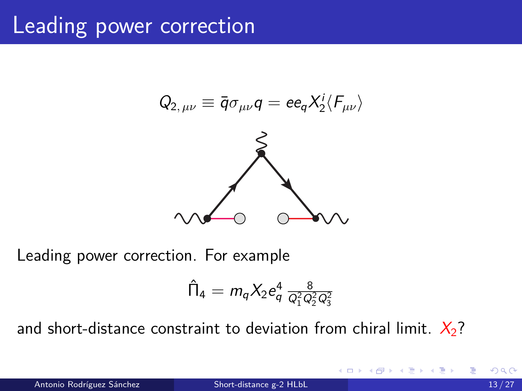$$
Q_{2,\,\mu\nu}\equiv \bar{q}\sigma_{\mu\nu}q=ee_qX_2^i\langle F_{\mu\nu}\rangle
$$



Leading power correction. For example

$$
\hat{\Pi}_4 = m_q X_2 e_q^4 \, \tfrac{8}{Q_1^2 Q_2^2 Q_3^2}
$$

and short-distance constraint to deviation from chiral limit.  $X_2$ ?

 $\leftarrow$   $\Box$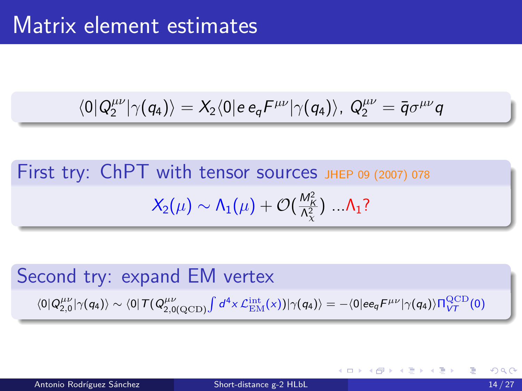$$
\langle 0 | Q_2^{\mu\nu} | \gamma(q_4) \rangle = X_2 \langle 0 | e \, e_q F^{\mu\nu} | \gamma(q_4) \rangle, \ Q_2^{\mu\nu} = \bar{q} \sigma^{\mu\nu} q
$$

First try: ChPT with tensor sources JHEP 09 (2007) 078  $X_2(\mu) \sim \mathsf{\Lambda}_1(\mu) + \mathcal{O}(\frac{M_{\mathsf{K}}^2}{\mathsf{\Lambda}^2_\chi})\; ... \mathsf{\Lambda}_1?$ 

Second try: expand EM vertex  $\langle 0 | Q_{2,0}^{\mu\nu} | \gamma(q_4) \rangle \sim \langle 0 | T (Q_{2,0(\mathrm{QCD})}^{\mu\nu} \int d^4x \, \mathcal{L}_{\mathrm{EM}}^{\mathrm{int}}(x) ) | \gamma(q_4) \rangle = - \langle 0 | \mathrm{e} \mathrm{e}_q F^{\mu\nu} | \gamma(q_4) \rangle \Pi_{V\mathcal{T}}^{\mathrm{QCD}}(0)$ 

メ御 トメ ヨ トメ ヨ トッ ヨ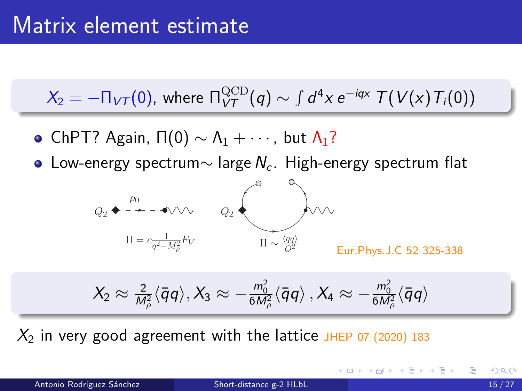$$
X_2 = -\Pi_{VT}(0), \text{ where } \Pi_{VT}^{\text{QCD}}(q) \sim \int d^4x \, e^{-iqx} \, T(V(x) T_i(0))
$$

- ChPT? Again,  $\Pi(0) \sim \Lambda_1 + \cdots$ , but  $\Lambda_1$ ?
- Low-energy spectrum $\sim$  large  $N_c$ . High-energy spectrum flat



$$
X_2 \approx \tfrac{2}{M^2_\rho}\langle\bar{q}q\rangle, X_3 \approx -\tfrac{m_0^2}{6M^2_\rho}\langle\bar{q}q\rangle\,, X_4 \approx -\tfrac{m_0^2}{6M^2_\rho}\langle\bar{q}q\rangle
$$

 $X_2$  in very good agreement with the lattice JHEP 07 (2020) 183

Antonio Rodríguez Sánchez **[Short-distance g-2 HLbL](#page-0-0)** 15 / 27

K ロ ▶ K 個 ▶ K 결 ▶ K 결 ▶ │ 결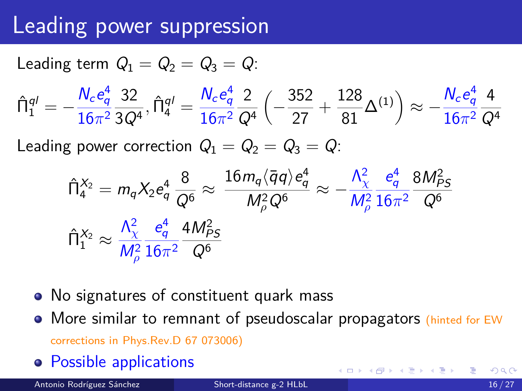# Leading power suppression

Leading term  $Q_1 = Q_2 = Q_3 = Q$ :

$$
\hat{\Pi}_1^{q\prime}=-\frac{N_c e_q^4}{16\pi^2}\frac{32}{3Q^4},\hat{\Pi}_4^{q\prime}=\frac{N_c e_q^4}{16\pi^2}\frac{2}{Q^4}\left(-\frac{352}{27}+\frac{128}{81}\Delta^{(1)}\right)\approx -\frac{N_c e_q^4}{16\pi^2}\frac{4}{Q^4}
$$

Leading power correction  $Q_1 = Q_2 = Q_3 = Q_3$ :

$$
\begin{aligned}\n\hat{\Pi}_{4}^{X_2} &= m_q X_2 e_q^4 \frac{8}{Q^6} \approx \frac{16 m_q \langle \bar{q}q \rangle e_q^4}{M_\rho^2 Q^6} \approx -\frac{\Lambda_\chi^2}{M_\rho^2} \frac{e_q^4}{16\pi^2} \frac{8 M_{PS}^2}{Q^6} \\
\hat{\Pi}_{1}^{X_2} &\approx \frac{\Lambda_\chi^2}{M_\rho^2} \frac{e_q^4}{16\pi^2} \frac{4 M_{PS}^2}{Q^6}\n\end{aligned}
$$

- No signatures of constituent quark mass
- More similar to remnant of pseudoscalar propagators (hinted for EW corrections in Phys.Rev.D 67 073006)
- Possible applications

Antonio Rodríguez Sánchez **[Short-distance g-2 HLbL](#page-0-0)** 16 / 27

イロト イ押 トイヨ トイヨ トー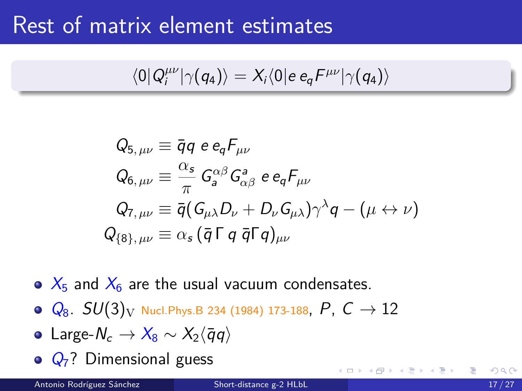#### Rest of matrix element estimates

$$
\langle 0|Q_i^{\mu\nu}|\gamma(q_4)\rangle=X_i\langle 0|e\,e_q{\cal F}^{\mu\nu}|\gamma(q_4)\rangle
$$

$$
\begin{aligned} Q_{5,\,\mu\nu} &\equiv \bar{q}q\ e\,e_q F_{\mu\nu} \\ Q_{6,\,\mu\nu} &\equiv \frac{\alpha_s}{\pi}\ G_a^{\alpha\beta}G_{\alpha\beta}^a\ e\,e_q F_{\mu\nu} \\ Q_{7,\,\mu\nu} &\equiv \bar{q}(G_{\mu\lambda}D_\nu + D_\nu G_{\mu\lambda})\gamma^\lambda q - (\mu \leftrightarrow \nu) \\ Q_{\{8\},\,\mu\nu} &\equiv \alpha_s\,(\bar{q}\,\Gamma\,q\;\bar{q}\Gamma q)_{\mu\nu} \end{aligned}
$$

- $\bullet$   $X_5$  and  $X_6$  are the usual vacuum condensates.
- $\bullet$   $Q_8$ .  $SU(3)_V$  Nucl. Phys. B 234 (1984) 173-188,  $P$ ,  $C \rightarrow 12$
- $\bullet$  Large- $N_c \rightarrow X_8 \sim X_2$  $\langle \bar{q}q \rangle$
- $\odot$   $Q_7$ ? Dimensional guess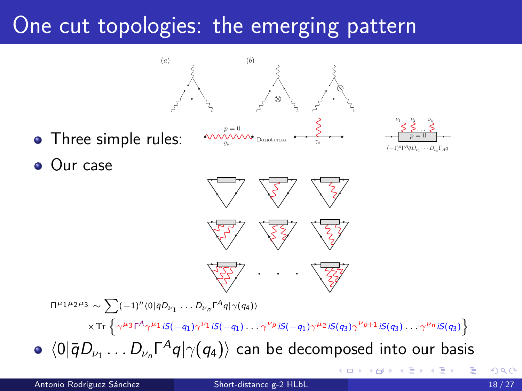## One cut topologies: the emerging pattern

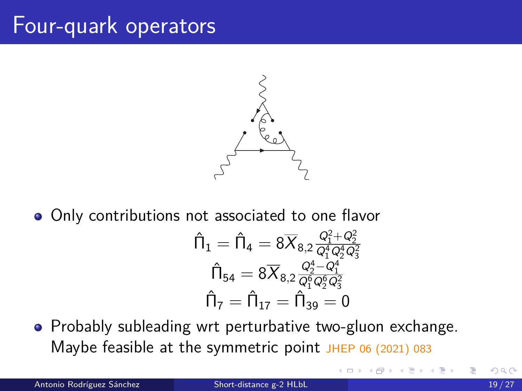#### Four-quark operators



• Only contributions not associated to one flavor

$$
\begin{aligned} \hat{\Pi}_1 &= \hat{\Pi}_4 = 8 \overline{X}_{8,2} \frac{Q_1^2 + Q_2^2}{Q_1^4 Q_2^4 Q_3^2} \\ \hat{\Pi}_{54} &= 8 \overline{X}_{8,2} \frac{Q_2^4 - Q_1^4}{Q_1^6 Q_2^6 Q_3^2} \\ \hat{\Pi}_7 &= \hat{\Pi}_{17} = \hat{\Pi}_{39} = 0 \end{aligned}
$$

∢ □ ▶ ∢f5

• Probably subleading wrt perturbative two-gluon exchange. Maybe feasible at the symmetric point JHEP 06 (2021) 083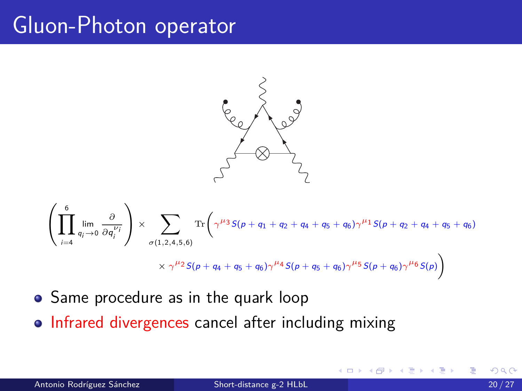### Gluon-Photon operator



$$
\left(\prod_{i=4}^{6} \lim_{q_{i}\to 0} \frac{\partial}{\partial q_{i}^{\nu_{i}}}\right) \times \sum_{\sigma(1,2,4,5,6)} \text{Tr}\left(\gamma^{\mu_{3}}S(p+q_{1}+q_{2}+q_{4}+q_{5}+q_{6})\gamma^{\mu_{1}}S(p+q_{2}+q_{4}+q_{5}+q_{6})\right) \times \gamma^{\mu_{2}}S(p+q_{4}+q_{5}+q_{6})\gamma^{\mu_{4}}S(p+q_{5}+q_{6})\gamma^{\mu_{5}}S(p+q_{6})\gamma^{\mu_{6}}S(p)\right)
$$

- Same procedure as in the quark loop
- Infrared divergences cancel after including mixing

4 **D F**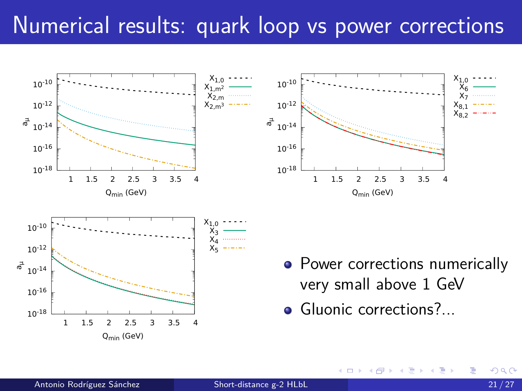### Numerical results: quark loop vs power corrections

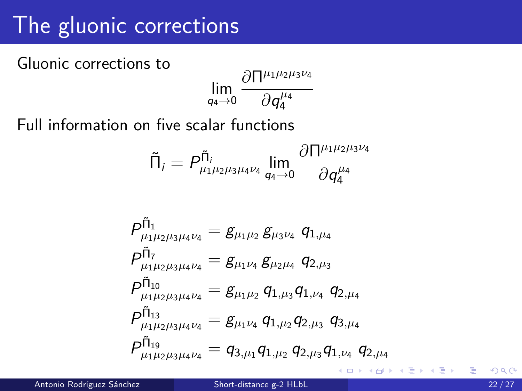# The gluonic corrections

Gluonic corrections to

$$
\lim_{q_4 \to 0} \frac{\partial \Pi^{\mu_1 \mu_2 \mu_3 \nu_4}}{\partial q_4^{\mu_4}}
$$

Full information on five scalar functions

$$
\tilde{\Pi}_i = P^{\tilde{\Pi}_i}_{\mu_1 \mu_2 \mu_3 \mu_4 \nu_4} \lim_{q_4 \to 0} \frac{\partial \Pi^{\mu_1 \mu_2 \mu_3 \nu_4}}{\partial q_4^{\mu_4}}
$$

$$
\begin{aligned} &\mathit{P_{\mu_1\mu_2\mu_3\mu_4\nu_4}^{\tilde{\Pi}_1}}=\mathit{g_{\mu_1\mu_2}}\,\mathit{g_{\mu_3\nu_4}}\,q_{1,\mu_4}\\ &\mathit{P_{\mu_1\mu_2\mu_3\mu_4\nu_4}^{\tilde{\Pi}_7}}=\mathit{g_{\mu_1\nu_4}}\,\mathit{g_{\mu_2\mu_4}}\,q_{2,\mu_3}\\ &\mathit{P_{\mu_1\mu_2\mu_3\mu_4\nu_4}^{\tilde{\Pi}_{10}}}= \mathit{g_{\mu_1\mu_2}}\,q_{1,\mu_3}q_{1,\nu_4}\,q_{2,\mu_4}\\ &\mathit{P_{\mu_1\mu_2\mu_3\mu_4\nu_4}^{\tilde{\Pi}_{13}}}= \mathit{g_{\mu_1\nu_4}}\,q_{1,\mu_2}q_{2,\mu_3}\,q_{3,\mu_4}\\ &\mathit{P_{\mu_1\mu_2\mu_3\mu_4\nu_4}^{\tilde{\Pi}_{19}}}=q_{3,\mu_1}q_{1,\mu_2}\,q_{2,\mu_3}q_{1,\nu_4}\,q_{2,\mu_4}\end{aligned}
$$

Antonio Rodríguez Sánchez **[Short-distance g-2 HLbL](#page-0-0)** 22 / 27

∍

-4 ⊞ »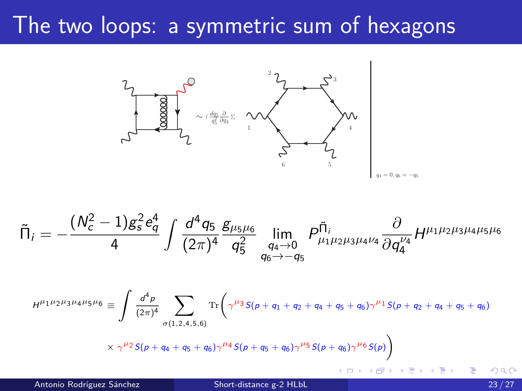#### The two loops: a symmetric sum of hexagons



$$
\tilde{\Pi}_i=-\frac{(N_c^2-1)g_s^2e_q^4}{4}\int \frac{d^4q_5}{(2\pi)^4}\frac{g_{\mu_5\mu_6}}{q_5^2}\lim_{\substack{q_4\to 0\\ q_6\to -q_5}}P^{\tilde{\Pi}_i}_{\mu_1\mu_2\mu_3\mu_4\nu_4}\frac{\partial}{\partial q_4^{\nu_4}}H^{\mu_1\mu_2\mu_3\mu_4\mu_5\mu_6}
$$

Z 4 Tr d p X *<sup>µ</sup>*1*µ*2*µ*3*µ*4*µ*5*µ*<sup>6</sup> ≡ *<sup>µ</sup>*<sup>3</sup> <sup>S</sup>(<sup>p</sup> <sup>+</sup> <sup>q</sup><sup>1</sup> <sup>+</sup> <sup>q</sup><sup>2</sup> <sup>+</sup> <sup>q</sup><sup>4</sup> <sup>+</sup> <sup>q</sup><sup>5</sup> <sup>+</sup> <sup>q</sup>6)*<sup>γ</sup> <sup>µ</sup>*<sup>1</sup> <sup>S</sup>(<sup>p</sup> <sup>+</sup> <sup>q</sup><sup>2</sup> <sup>+</sup> <sup>q</sup><sup>4</sup> <sup>+</sup> <sup>q</sup><sup>5</sup> <sup>+</sup> <sup>q</sup>6) H *γ* 4 (2*π*) *σ*(1*,*2*,*4*,*5*,*6) *<sup>µ</sup>*<sup>2</sup> <sup>S</sup>(<sup>p</sup> <sup>+</sup> <sup>q</sup><sup>4</sup> <sup>+</sup> <sup>q</sup><sup>5</sup> <sup>+</sup> <sup>q</sup>6)*<sup>γ</sup> <sup>µ</sup>*<sup>4</sup> <sup>S</sup>(<sup>p</sup> <sup>+</sup> <sup>q</sup><sup>5</sup> <sup>+</sup> <sup>q</sup>6)*<sup>γ</sup> <sup>µ</sup>*<sup>5</sup> <sup>S</sup>(<sup>p</sup> <sup>+</sup> <sup>q</sup>6)*<sup>γ</sup> <sup>µ</sup>*<sup>6</sup> S(p) × *γ* 

Antonio Rodríguez Sánchez **[Short-distance g-2 HLbL](#page-0-0)** 23 / 27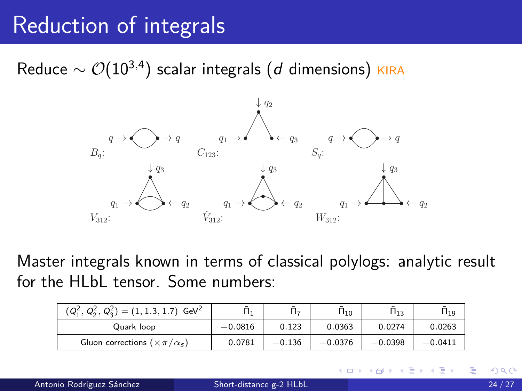# Reduction of integrals

Reduce  $\sim \mathcal{O}(10^{3,4})$  scalar integrals (*d* dimensions) <sub>KIRA</sub>



Master integrals known in terms of classical polylogs: analytic result for the HLbL tensor. Some numbers:

| $(Q_1^2, Q_2^2, Q_3^2) = (1, 1.3, 1.7)$ GeV <sup>2</sup> |           | õ<br>$1 -$ | $\tilde{\Pi}_{10}$ | $\tilde{\phantom{a}}$<br>$\Pi_{13}$ | $\mathsf{H}_{19}$ |
|----------------------------------------------------------|-----------|------------|--------------------|-------------------------------------|-------------------|
| Quark loop                                               | $-0.0816$ | 0.123      | 0.0363             | 0.0274                              | 0.0263            |
| Gluon corrections ( $\times \pi/\alpha_s$ )              | 0.0781    | $-0.136$   | $-0.0376$          | $-0.0398$                           | $-0.0411$         |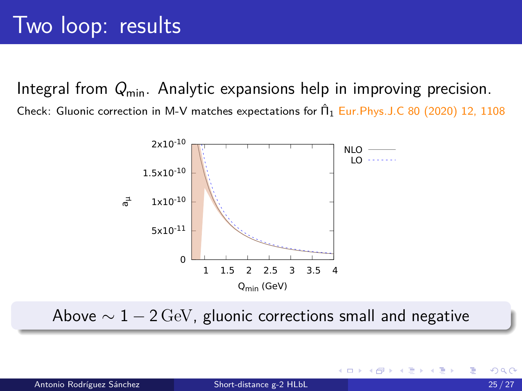Integral from  $Q_{\min}$ . Analytic expansions help in improving precision. Check: Gluonic correction in M-V matches expectations for  $\hat{\Pi}_1$  Eur. Phys. J.C 80 (2020) 12, 1108



Above  $\sim 1 - 2 \,\text{GeV}$ , gluonic corrections small and negative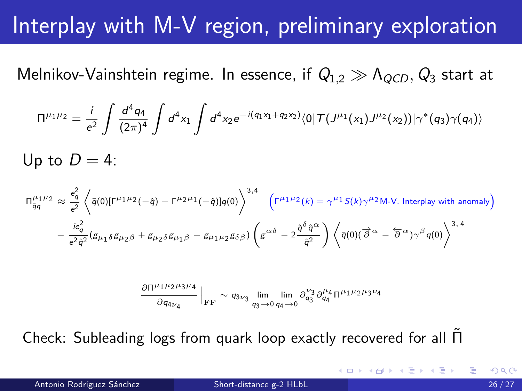# Interplay with M-V region, preliminary exploration

Melnikov-Vainshtein regime. In essence, if Q<sub>1,2</sub> ≫ Λ<sub>QCD</sub>, Q<sub>3</sub> start at

$$
\Pi^{\mu_1\mu_2} = \frac{i}{e^2}\int \frac{d^4q_4}{(2\pi)^4}\int d^4x_1\int d^4x_2 e^{-i(q_1x_1+q_2x_2)}\langle 0|T(J^{\mu_1}(x_1)J^{\mu_2}(x_2))|\gamma^*(q_3)\gamma(q_4)\rangle
$$

Up to  $D = 4$ :

$$
\Pi_{\overline{q}q}^{\mu_{1}\mu_{2}} \approx \frac{e_{\overline{q}}^{2}}{e^{2}} \left\langle \bar{q}(0)[\Gamma^{\mu_{1}\mu_{2}}(-\hat{q}) - \Gamma^{\mu_{2}\mu_{1}}(-\hat{q})]q(0) \right\rangle^{3,4} \left(\Gamma^{\mu_{1}\mu_{2}}(k) = \gamma^{\mu_{1}}S(k)\gamma^{\mu_{2}}M-N. \text{ Interplay with anomaly}\right) - \frac{ie_{q}^{2}}{e^{2}\hat{q}^{2}} (g_{\mu_{1}\delta}g_{\mu_{2}\beta} + g_{\mu_{2}\delta}g_{\mu_{1}\beta} - g_{\mu_{1}\mu_{2}}g_{\delta\beta}) \left(g^{\alpha\delta} - 2\frac{\hat{q}^{\delta}\hat{q}^{\alpha}}{\hat{q}^{2}}\right) \left\langle \bar{q}(0)(\vec{\partial}^{\alpha} - \vec{\partial}^{\alpha})\gamma^{\beta}q(0) \right\rangle^{3,4}
$$

$$
\frac{\partial \Pi^{\mu_1\mu_2\mu_3\mu_4}}{\partial q_{4\nu_4}}\Big|_{\rm FF} \sim q_{3\nu_3}\lim_{q_3\to 0}\lim_{q_4\to 0}\partial^{\nu_3}_{q_3}\partial^{\mu_4}_{q_4}\Pi^{\mu_1\mu_2\mu_3\nu_4}
$$

Check: Subleading logs from quark loop exactly recovered for all Π˜

Antonio Rodríguez Sánchez **[Short-distance g-2 HLbL](#page-0-0)** 26 / 27